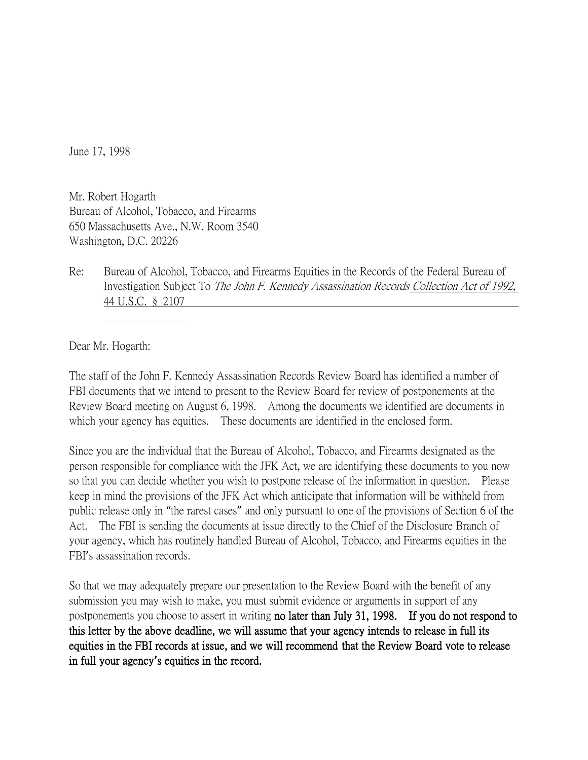June 17, 1998

Mr. Robert Hogarth Bureau of Alcohol, Tobacco, and Firearms 650 Massachusetts Ave., N.W. Room 3540 Washington, D.C. 20226

Re: Bureau of Alcohol, Tobacco, and Firearms Equities in the Records of the Federal Bureau of Investigation Subject To The John F. Kennedy Assassination Records Collection Act of 1992, 44 U.S.C. § 2107

Dear Mr. Hogarth:

The staff of the John F. Kennedy Assassination Records Review Board has identified a number of FBI documents that we intend to present to the Review Board for review of postponements at the Review Board meeting on August 6, 1998. Among the documents we identified are documents in which your agency has equities. These documents are identified in the enclosed form.

Since you are the individual that the Bureau of Alcohol, Tobacco, and Firearms designated as the person responsible for compliance with the JFK Act, we are identifying these documents to you now so that you can decide whether you wish to postpone release of the information in question. Please keep in mind the provisions of the JFK Act which anticipate that information will be withheld from public release only in "the rarest cases" and only pursuant to one of the provisions of Section 6 of the Act. The FBI is sending the documents at issue directly to the Chief of the Disclosure Branch of your agency, which has routinely handled Bureau of Alcohol, Tobacco, and Firearms equities in the FBI's assassination records.

So that we may adequately prepare our presentation to the Review Board with the benefit of any submission you may wish to make, you must submit evidence or arguments in support of any postponements you choose to assert in writing no later than July 31, 1998. If you do not respond to this letter by the above deadline, we will assume that your agency intends to release in full its equities in the FBI records at issue, and we will recommend that the Review Board vote to release in full your agency**'**s equities in the record.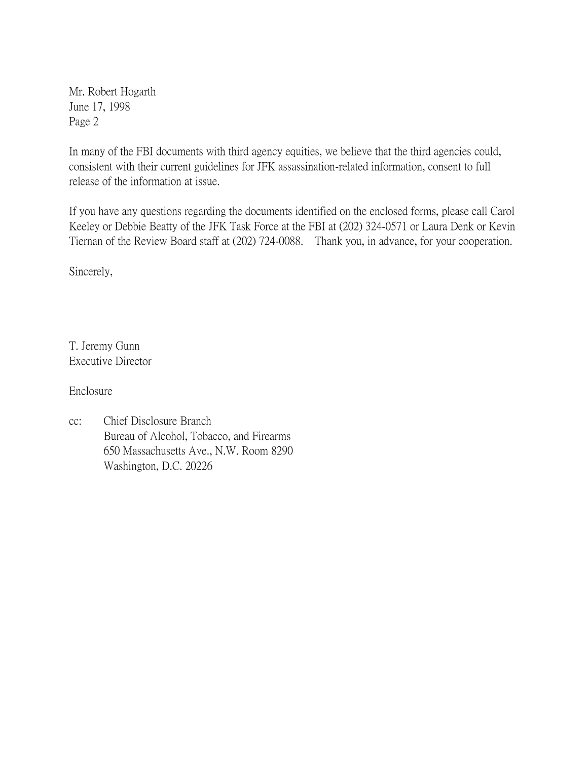Mr. Robert Hogarth June 17, 1998 Page 2

In many of the FBI documents with third agency equities, we believe that the third agencies could, consistent with their current guidelines for JFK assassination-related information, consent to full release of the information at issue.

If you have any questions regarding the documents identified on the enclosed forms, please call Carol Keeley or Debbie Beatty of the JFK Task Force at the FBI at (202) 324-0571 or Laura Denk or Kevin Tiernan of the Review Board staff at (202) 724-0088. Thank you, in advance, for your cooperation.

Sincerely,

T. Jeremy Gunn Executive Director

Enclosure

cc: Chief Disclosure Branch Bureau of Alcohol, Tobacco, and Firearms 650 Massachusetts Ave., N.W. Room 8290 Washington, D.C. 20226